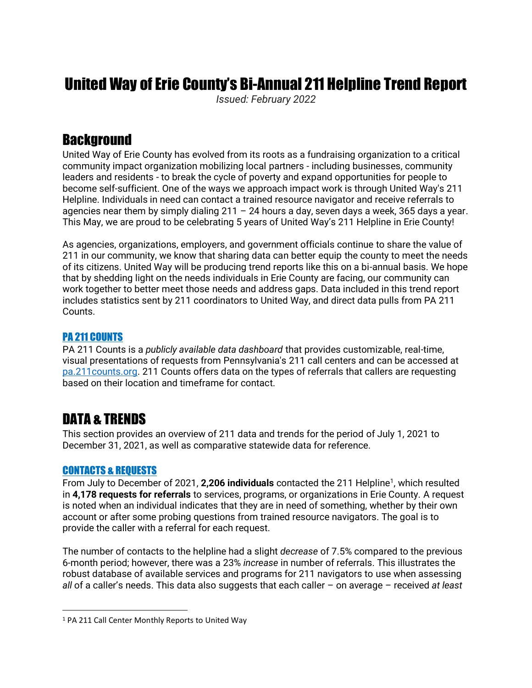# United Way of Erie County's Bi-Annual 211 Helpline Trend Report

*Issued: February 2022*

### **Background**

United Way of Erie County has evolved from its roots as a fundraising organization to a critical community impact organization mobilizing local partners - including businesses, community leaders and residents - to break the cycle of poverty and expand opportunities for people to become self-sufficient. One of the ways we approach impact work is through United Way's 211 Helpline. Individuals in need can contact a trained resource navigator and receive referrals to agencies near them by simply dialing  $211 - 24$  hours a day, seven days a week, 365 days a year. This May, we are proud to be celebrating 5 years of United Way's 211 Helpline in Erie County!

As agencies, organizations, employers, and government officials continue to share the value of 211 in our community, we know that sharing data can better equip the county to meet the needs of its citizens. United Way will be producing trend reports like this on a bi-annual basis. We hope that by shedding light on the needs individuals in Erie County are facing, our community can work together to better meet those needs and address gaps. Data included in this trend report includes statistics sent by 211 coordinators to United Way, and direct data pulls from PA 211 Counts.

### PA 211 COUNTS

PA 211 Counts is a *publicly available data dashboard* that provides customizable, real-time, visual presentations of requests from Pennsylvania's 211 call centers and can be accessed at [pa.211counts.org.](http://pa.211counts.org/) 211 Counts offers data on the types of referrals that callers are requesting based on their location and timeframe for contact.

## DATA & TRENDS

This section provides an overview of 211 data and trends for the period of July 1, 2021 to December 31, 2021, as well as comparative statewide data for reference.

#### CONTACTS & REQUESTS

From July to December of 2021, 2,206 individuals contacted the 211 Helpline<sup>1</sup>, which resulted in **4,178 requests for referrals** to services, programs, or organizations in Erie County. A request is noted when an individual indicates that they are in need of something, whether by their own account or after some probing questions from trained resource navigators. The goal is to provide the caller with a referral for each request.

The number of contacts to the helpline had a slight *decrease* of 7.5% compared to the previous 6-month period; however, there was a 23% *increase* in number of referrals. This illustrates the robust database of available services and programs for 211 navigators to use when assessing *all* of a caller's needs. This data also suggests that each caller – on average – received *at least*

<sup>&</sup>lt;sup>1</sup> PA 211 Call Center Monthly Reports to United Way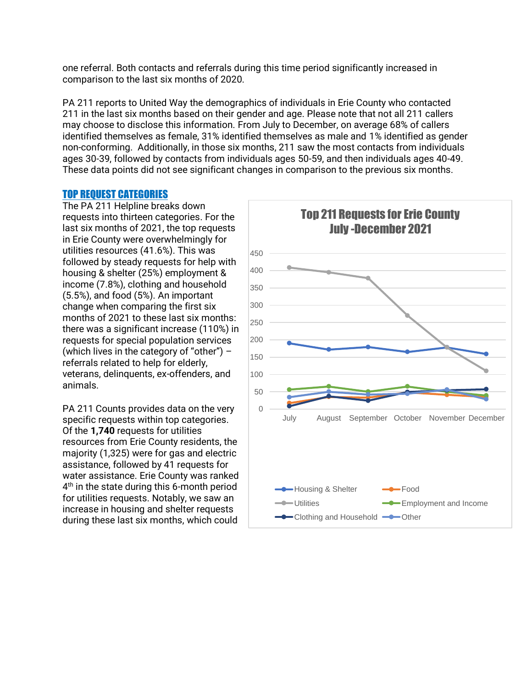one referral. Both contacts and referrals during this time period significantly increased in comparison to the last six months of 2020.

PA 211 reports to United Way the demographics of individuals in Erie County who contacted 211 in the last six months based on their gender and age. Please note that not all 211 callers may choose to disclose this information. From July to December, on average 68% of callers identified themselves as female, 31% identified themselves as male and 1% identified as gender non-conforming. Additionally, in those six months, 211 saw the most contacts from individuals ages 30-39, followed by contacts from individuals ages 50-59, and then individuals ages 40-49. These data points did not see significant changes in comparison to the previous six months.

#### TOP REQUEST CATEGORIES

The PA 211 Helpline breaks down requests into thirteen categories. For the last six months of 2021, the top requests in Erie County were overwhelmingly for utilities resources (41.6%). This was followed by steady requests for help with housing & shelter (25%) employment & income (7.8%), clothing and household (5.5%), and food (5%). An important change when comparing the first six months of 2021 to these last six months: there was a significant increase (110%) in requests for special population services (which lives in the category of "other")  $$ referrals related to help for elderly, veterans, delinquents, ex-offenders, and animals.

PA 211 Counts provides data on the very specific requests within top categories. Of the **1,740** requests for utilities resources from Erie County residents, the majority (1,325) were for gas and electric assistance, followed by 41 requests for water assistance. Erie County was ranked 4<sup>th</sup> in the state during this 6-month period for utilities requests. Notably, we saw an increase in housing and shelter requests during these last six months, which could

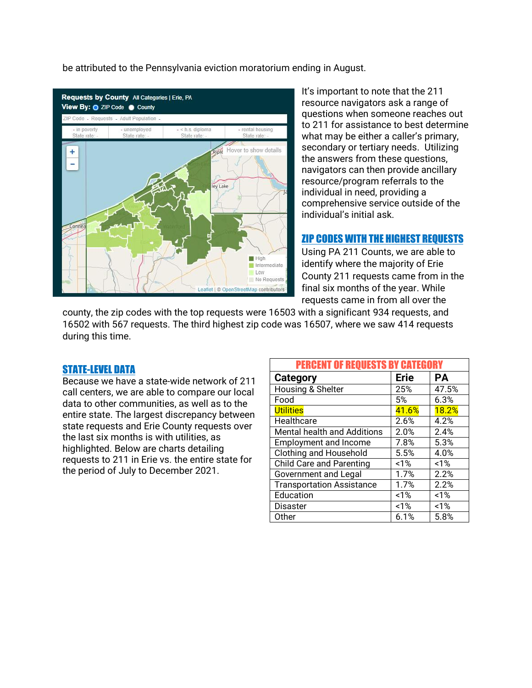be attributed to the Pennsylvania eviction moratorium ending in August.



It's important to note that the 211 resource navigators ask a range of questions when someone reaches out to 211 for assistance to best determine what may be either a caller's primary, secondary or tertiary needs. Utilizing the answers from these questions, navigators can then provide ancillary resource/program referrals to the individual in need, providing a comprehensive service outside of the individual's initial ask.

#### ZIP CODES WITH THE HIGHEST REQUESTS

Using PA 211 Counts, we are able to identify where the majority of Erie County 211 requests came from in the final six months of the year. While requests came in from all over the

county, the zip codes with the top requests were 16503 with a significant 934 requests, and 16502 with 567 requests. The third highest zip code was 16507, where we saw 414 requests during this time.

#### STATE-LEVEL DATA

Because we have a state-wide network of 211 call centers, we are able to compare our local data to other communities, as well as to the entire state. The largest discrepancy between state requests and Erie County requests over the last six months is with utilities, as highlighted. Below are charts detailing requests to 211 in Erie vs. the entire state for the period of July to December 2021.

| <b>PERCENT OF REQUESTS BY CATEGORY</b> |             |              |
|----------------------------------------|-------------|--------------|
| Category                               | <b>Erie</b> | <b>PA</b>    |
| Housing & Shelter                      | 25%         | 47.5%        |
| Food                                   | 5%          | 6.3%         |
| <b>Utilities</b>                       | 41.6%       | <b>18.2%</b> |
| Healthcare                             | 2.6%        | 4.2%         |
| Mental health and Additions            | 2.0%        | 2.4%         |
| <b>Employment and Income</b>           | 7.8%        | 5.3%         |
| <b>Clothing and Household</b>          | 5.5%        | 4.0%         |
| <b>Child Care and Parenting</b>        | 1%          | 1%           |
| <b>Government and Legal</b>            | 1.7%        | 2.2%         |
| <b>Transportation Assistance</b>       | 1.7%        | 2.2%         |
| Education                              | 1%          | 1%           |
| <b>Disaster</b>                        | 1%          | 1%           |
| Other                                  | 6.1%        | 5.8%         |